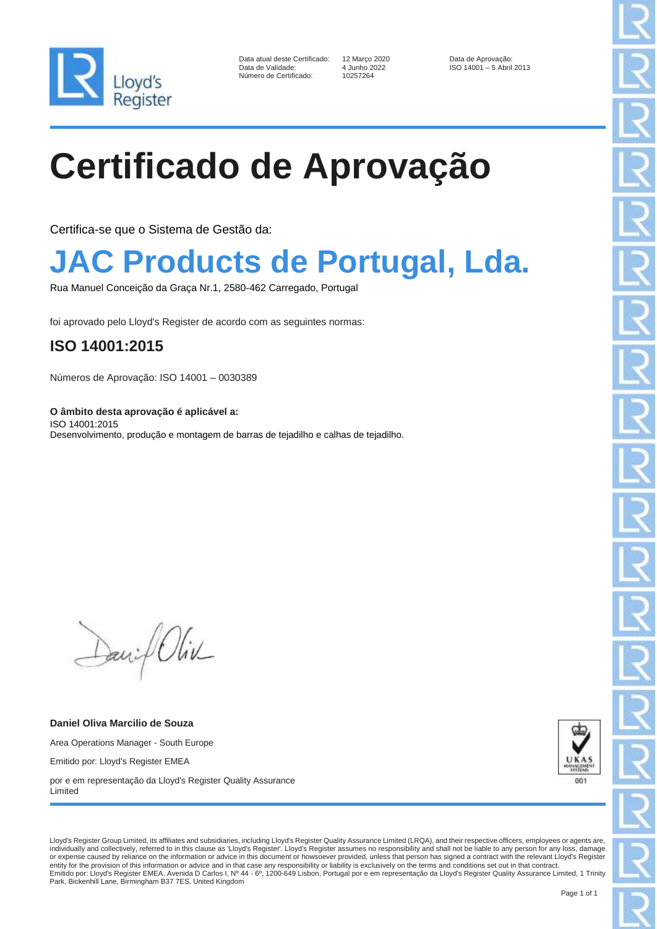

Data atual deste Certificado: 12 Março 2020 Data de Aprovação: Número de Certificado:

Data de Validade: 4 Junho 2022 ISO 14001 – 5 Abril 2013

# **Certificado de Aprovação**

Certifica-se que o Sistema de Gestão da:

### **JAC Products de Portugal, Lda.**

Rua Manuel Conceição da Graça Nr.1, 2580-462 Carregado, Portugal

foi aprovado pelo Lloyd's Register de acordo com as seguintes normas:

#### **ISO 14001:2015**

Números de Aprovação: ISO 14001 – 0030389

**O âmbito desta aprovação é aplicável a:** ISO 14001:2015 Desenvolvimento, produção e montagem de barras de tejadilho e calhas de tejadilho.

Daniel Oliv

**Daniel Oliva Marcilio de Souza** Area Operations Manager - South Europe Emitido por: Lloyd's Register EMEA

por e em representação da Lloyd's Register Quality Assurance Limited



Lloyd's Register Group Limited, its affiliates and subsidiaries, including Lloyd's Register Quality Assurance Limited (LRQA), and their respective officers, employees or agents are, individually and collectively, referred to in this clause as 'Lloyd's Register'. Lloyd's Register assumes no responsibility and shall not be liable to any person for any loss, damage or expense caused by reliance on the information or advice in this document or howsoever provided, unless that person has signed a contract with the relevant Lloyd's Register entity for the provision of this information or advice and in that case any responsibility or liability is exclusively on the terms and conditions set out in that contract Emitido por: Lloyd's Register EMEA, Avenida D Carlos I, Nº 44 - 6º, 1200-649 Lisbon, Portugal por e em representação da Lloyd's Register Quality Assurance Limited, 1 Trinity Park, Bickenhill Lane, Birmingham B37 7ES, United Kingdom